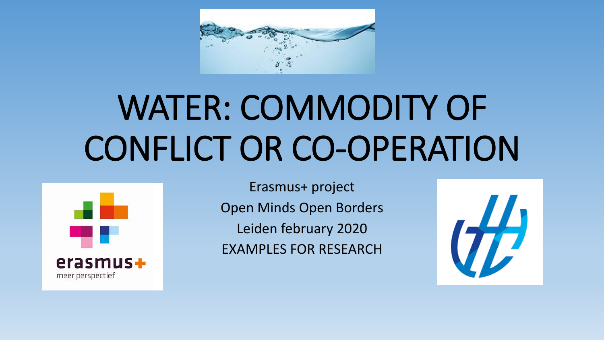

# WATER: COMMODITY OF CONFLICT OR CO-OPERATION



Erasmus+ project Open Minds Open Borders Leiden february 2020 EXAMPLES FOR RESEARCH

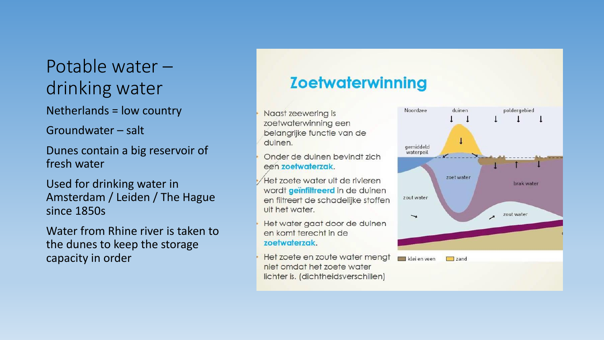# Potable water – drinking water

Netherlands = low country

Groundwater – salt

Dunes contain a big reservoir of fresh water

Used for drinking water in Amsterdam / Leiden / The Hague since 1850s

Water from Rhine river is taken to the dunes to keep the storage capacity in order

#### **Zoetwaterwinning**

Naast zeewering is zoetwaterwinning een belangrijke functie van de duinen.

Onder de duinen bevindt zich een zoetwaterzak.

Het zoete water uit de rivieren wordt geïnfiltreerd in de duinen en filtreert de schadelijke stoffen uit het water.

Het water gaat door de duinen en komt terecht in de zoetwaterzak.

Het zoete en zoute water mengt niet omdat het zoete water lichter is. (dichtheidsverschillen)

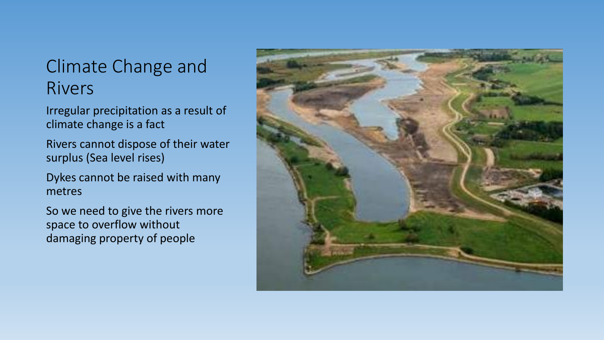### Climate Change and Rivers

Irregular precipitation as a result of climate change is a fact

Rivers cannot dispose of their water surplus (Sea level rises)

Dykes cannot be raised with many metres

So we need to give the rivers more space to overflow without damaging property of people

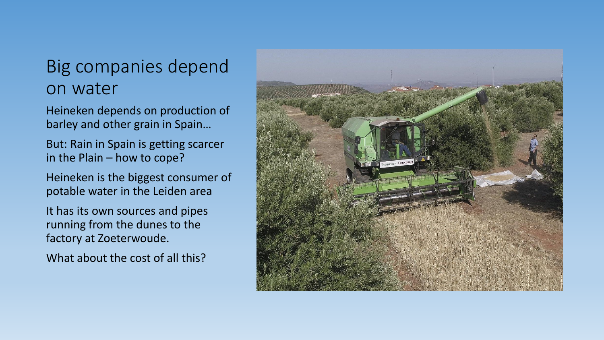### Big companies depend on water

Heineken depends on production of barley and other grain in Spain…

But: Rain in Spain is getting scarcer in the Plain – how to cope?

Heineken is the biggest consumer of potable water in the Leiden area

It has its own sources and pipes running from the dunes to the factory at Zoeterwoude.

What about the cost of all this?

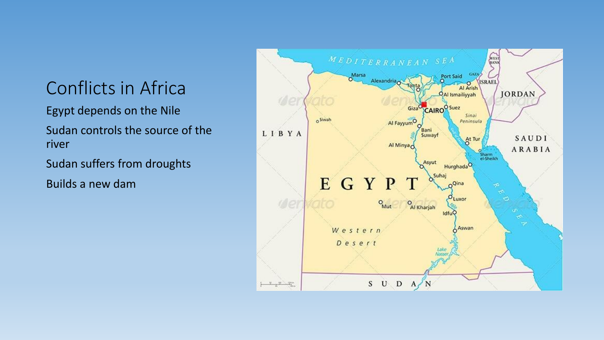# Conflicts in Africa

Egypt depends on the Nile

Sudan controls the source of the river

Sudan suffers from droughts

Builds a new dam

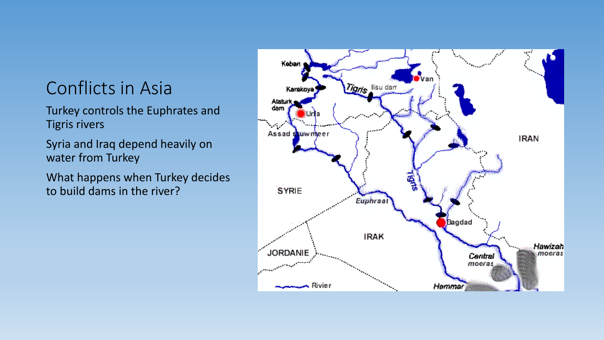# Conflicts in Asia

Turkey controls the Euphrates and Tigris rivers

Syria and Iraq depend heavily on water from Turkey

What happens when Turkey decides to build dams in the river?

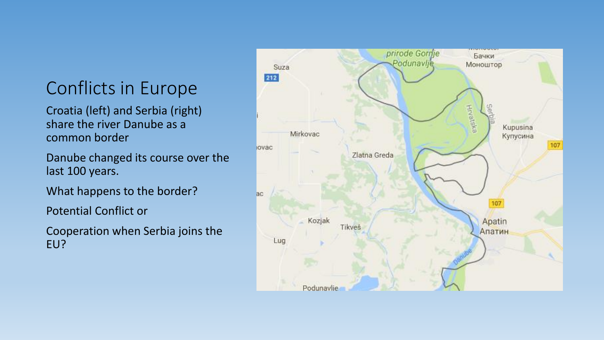# Conflicts in Europe

Croatia (left) and Serbia (right) share the river Danube as a common border

Danube changed its course over the last 100 years.

What happens to the border?

Potential Conflict or

Cooperation when Serbia joins the EU?